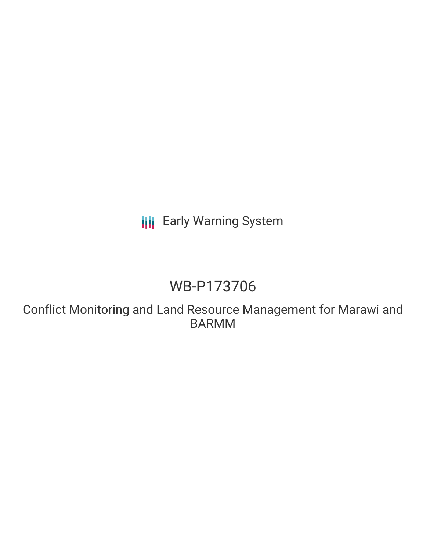## **III** Early Warning System

# WB-P173706

Conflict Monitoring and Land Resource Management for Marawi and BARMM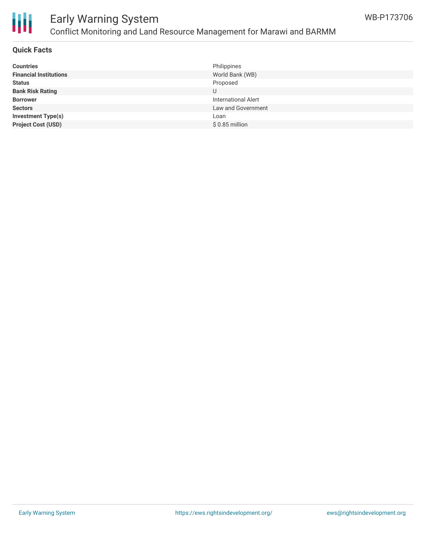

## Early Warning System Conflict Monitoring and Land Resource Management for Marawi and BARMM

#### **Quick Facts**

| <b>Countries</b>              | Philippines                |
|-------------------------------|----------------------------|
| <b>Financial Institutions</b> | World Bank (WB)            |
| <b>Status</b>                 | Proposed                   |
| <b>Bank Risk Rating</b>       |                            |
| <b>Borrower</b>               | <b>International Alert</b> |
| <b>Sectors</b>                | Law and Government         |
| <b>Investment Type(s)</b>     | Loan                       |
| <b>Project Cost (USD)</b>     | $$0.85$ million            |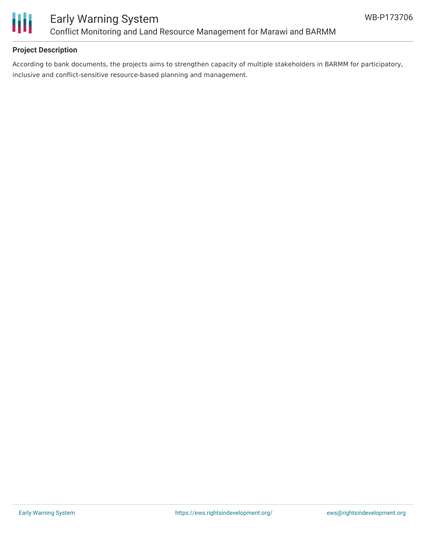

#### **Project Description**

According to bank documents, the projects aims to strengthen capacity of multiple stakeholders in BARMM for participatory, inclusive and conflict-sensitive resource-based planning and management.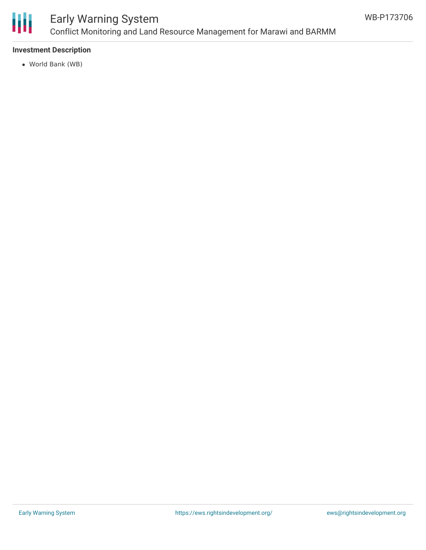

## Early Warning System Conflict Monitoring and Land Resource Management for Marawi and BARMM

#### **Investment Description**

World Bank (WB)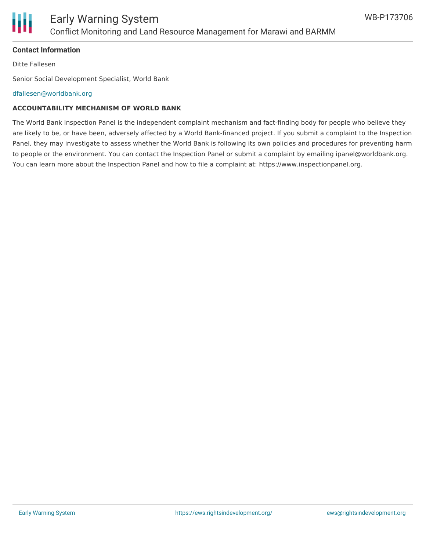

#### **Contact Information**

Ditte Fallesen

Senior Social Development Specialist, World Bank

[dfallesen@worldbank.org](mailto:dfallesen@worldbank.org)

#### **ACCOUNTABILITY MECHANISM OF WORLD BANK**

The World Bank Inspection Panel is the independent complaint mechanism and fact-finding body for people who believe they are likely to be, or have been, adversely affected by a World Bank-financed project. If you submit a complaint to the Inspection Panel, they may investigate to assess whether the World Bank is following its own policies and procedures for preventing harm to people or the environment. You can contact the Inspection Panel or submit a complaint by emailing ipanel@worldbank.org. You can learn more about the Inspection Panel and how to file a complaint at: https://www.inspectionpanel.org.